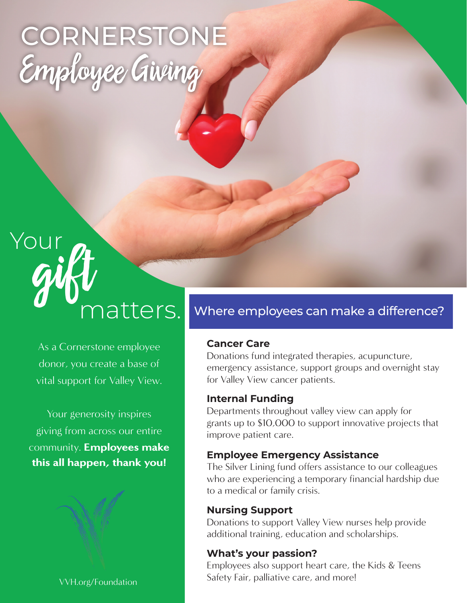# **CORNERSTONE** Employee Giving



As a Cornerstone employee donor, you create a base of vital support for Valley View.

Your generosity inspires giving from across our entire community. **Employees make** this all happen, thank you!



# Where employees can make a difference?

# **Cancer Care**

Donations fund integrated therapies, acupuncture, emergency assistance, support groups and overnight stay for Valley View cancer patients.

## **Internal Funding**

Departments throughout valley view can apply for grants up to \$10,000 to support innovative projects that improve patient care.

## **Employee Emergency Assistance**

The Silver Lining fund offers assistance to our colleagues who are experiencing a temporary financial hardship due to a medical or family crisis.

## **Nursing Support**

Donations to support Valley View nurses help provide additional training, education and scholarships.

## **What's your passion?**

Employees also support heart care, the Kids & Teens Safety Fair, palliative care, and more!

VVH.org/Foundation